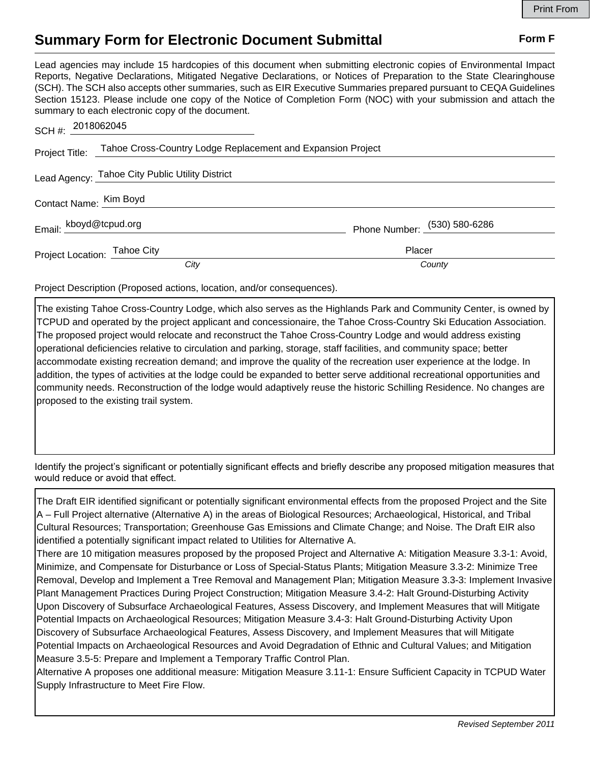## **Summary Form for Electronic Document Submittal Form F Form F**

Lead agencies may include 15 hardcopies of this document when submitting electronic copies of Environmental Impact Reports, Negative Declarations, Mitigated Negative Declarations, or Notices of Preparation to the State Clearinghouse (SCH). The SCH also accepts other summaries, such as EIR Executive Summaries prepared pursuant to CEQA Guidelines Section 15123. Please include one copy of the Notice of Completion Form (NOC) with your submission and attach the summary to each electronic copy of the document.

| SCH #: 2018062045            |                                                                            |                              |
|------------------------------|----------------------------------------------------------------------------|------------------------------|
|                              | Project Title: Tahoe Cross-Country Lodge Replacement and Expansion Project |                              |
|                              | Lead Agency: Tahoe City Public Utility District                            |                              |
| Contact Name: Kim Boyd       |                                                                            |                              |
| Email: kboyd@tcpud.org       |                                                                            | Phone Number: (530) 580-6286 |
| Project Location: Tahoe City |                                                                            | Placer                       |
|                              | City                                                                       | County                       |

Project Description (Proposed actions, location, and/or consequences).

The existing Tahoe Cross-Country Lodge, which also serves as the Highlands Park and Community Center, is owned by TCPUD and operated by the project applicant and concessionaire, the Tahoe Cross-Country Ski Education Association. The proposed project would relocate and reconstruct the Tahoe Cross-Country Lodge and would address existing operational deficiencies relative to circulation and parking, storage, staff facilities, and community space; better accommodate existing recreation demand; and improve the quality of the recreation user experience at the lodge. In addition, the types of activities at the lodge could be expanded to better serve additional recreational opportunities and community needs. Reconstruction of the lodge would adaptively reuse the historic Schilling Residence. No changes are proposed to the existing trail system.

Identify the project's significant or potentially significant effects and briefly describe any proposed mitigation measures that would reduce or avoid that effect.

The Draft EIR identified significant or potentially significant environmental effects from the proposed Project and the Site A – Full Project alternative (Alternative A) in the areas of Biological Resources; Archaeological, Historical, and Tribal Cultural Resources; Transportation; Greenhouse Gas Emissions and Climate Change; and Noise. The Draft EIR also identified a potentially significant impact related to Utilities for Alternative A.

There are 10 mitigation measures proposed by the proposed Project and Alternative A: Mitigation Measure 3.3-1: Avoid, Minimize, and Compensate for Disturbance or Loss of Special-Status Plants; Mitigation Measure 3.3-2: Minimize Tree Removal, Develop and Implement a Tree Removal and Management Plan; Mitigation Measure 3.3-3: Implement Invasive Plant Management Practices During Project Construction; Mitigation Measure 3.4-2: Halt Ground-Disturbing Activity Upon Discovery of Subsurface Archaeological Features, Assess Discovery, and Implement Measures that will Mitigate Potential Impacts on Archaeological Resources; Mitigation Measure 3.4-3: Halt Ground-Disturbing Activity Upon Discovery of Subsurface Archaeological Features, Assess Discovery, and Implement Measures that will Mitigate Potential Impacts on Archaeological Resources and Avoid Degradation of Ethnic and Cultural Values; and Mitigation Measure 3.5-5: Prepare and Implement a Temporary Traffic Control Plan.

Alternative A proposes one additional measure: Mitigation Measure 3.11-1: Ensure Sufficient Capacity in TCPUD Water Supply Infrastructure to Meet Fire Flow.